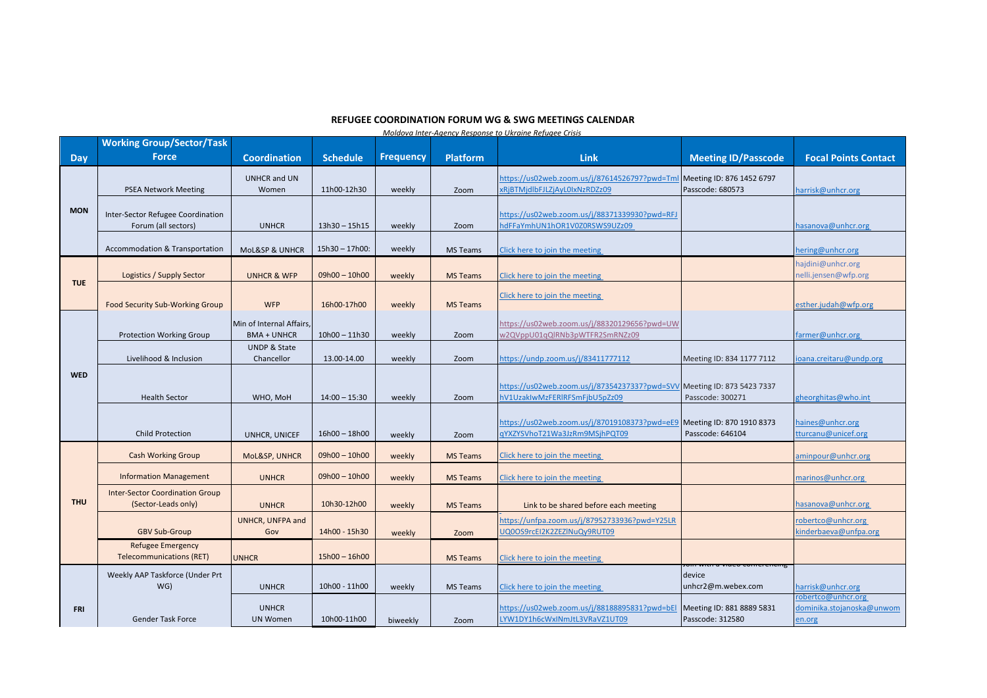## **REFUGEE COORDINATION FORUM WG & SWG MEETINGS CALENDAR**

*Moldova Inter-Agency Response to Ukraine Refugee Crisis* 

|            | <b>Working Group/Sector/Task</b>       |                               |                 |                  |                 |                                                                                                          |                            |                             |
|------------|----------------------------------------|-------------------------------|-----------------|------------------|-----------------|----------------------------------------------------------------------------------------------------------|----------------------------|-----------------------------|
| Day        | <b>Force</b>                           | Coordination                  | <b>Schedule</b> | <b>Frequency</b> | <b>Platform</b> | Link                                                                                                     | <b>Meeting ID/Passcode</b> | <b>Focal Points Contact</b> |
| <b>MON</b> |                                        |                               |                 |                  |                 |                                                                                                          |                            |                             |
|            | <b>PSEA Network Meeting</b>            | <b>UNHCR and UN</b><br>Women  | 11h00-12h30     | weekly           | Zoom            | https://us02web.zoom.us/j/87614526797?pwd=Tml Meeting ID: 876 1452 6797<br>xRjBTMjdlbFJLZjAyL0IxNzRDZz09 | Passcode: 680573           | harrisk@unhcr.org           |
|            |                                        |                               |                 |                  |                 |                                                                                                          |                            |                             |
|            | Inter-Sector Refugee Coordination      |                               |                 |                  |                 | https://us02web.zoom.us/j/88371339930?pwd=RFJ                                                            |                            |                             |
|            | Forum (all sectors)                    | <b>UNHCR</b>                  | $13h30 - 15h15$ | weekly           | Zoom            | ndFFaYmhUN1hOR1V0Z0RSWS9UZz09                                                                            |                            | hasanova@unhcr.org          |
|            |                                        |                               |                 |                  |                 |                                                                                                          |                            |                             |
|            | Accommodation & Transportation         | <b>MoL&amp;SP &amp; UNHCR</b> | 15h30 - 17h00:  | weekly           | <b>MS Teams</b> | Click here to join the meeting                                                                           |                            | hering@unhcr.org            |
|            |                                        |                               |                 |                  |                 |                                                                                                          |                            | hajdini@unhcr.org           |
|            | Logistics / Supply Sector              | <b>UNHCR &amp; WFP</b>        | $09h00 - 10h00$ | weekly           | <b>MS Teams</b> | Click here to join the meeting                                                                           |                            | nelli.jensen@wfp.org        |
| <b>TUE</b> |                                        |                               |                 |                  |                 |                                                                                                          |                            |                             |
|            |                                        |                               |                 |                  |                 | Click here to join the meeting                                                                           |                            |                             |
|            | Food Security Sub-Working Group        | <b>WFP</b>                    | 16h00-17h00     | weekly           | <b>MS Teams</b> |                                                                                                          |                            | esther.judah@wfp.org        |
|            |                                        | Min of Internal Affairs.      |                 |                  |                 | https://us02web.zoom.us/j/88320129656?pwd=UW                                                             |                            |                             |
| <b>WED</b> | <b>Protection Working Group</b>        | <b>BMA + UNHCR</b>            | $10h00 - 11h30$ | weekly           | Zoom            | w2QVppU01qQlRNb3pWTFR2SmRNZz09                                                                           |                            | farmer@unhcr.org            |
|            |                                        | <b>UNDP &amp; State</b>       |                 |                  |                 |                                                                                                          |                            |                             |
|            | Livelihood & Inclusion                 | Chancellor                    | 13.00-14.00     | weekly           | Zoom            | https://undp.zoom.us/j/83411777112                                                                       | Meeting ID: 834 1177 7112  | ioana.creitaru@undp.org     |
|            |                                        |                               |                 |                  |                 |                                                                                                          |                            |                             |
|            |                                        |                               |                 |                  |                 | https://us02web.zoom.us/j/87354237337?pwd=SVV Meeting ID: 873 5423 7337                                  |                            |                             |
|            | <b>Health Sector</b>                   | WHO, MoH                      | $14:00 - 15:30$ | weekly           | Zoom            | hV1UzakIwMzFERIRFSmFjbU5pZz09                                                                            | Passcode: 300271           | gheorghitas@who.int         |
|            |                                        |                               |                 |                  |                 |                                                                                                          |                            |                             |
|            |                                        |                               |                 |                  |                 | https://us02web.zoom.us/j/87019108373?pwd=eE9 Meeting ID: 870 1910 8373                                  |                            | haines@unhcr.org            |
|            | <b>Child Protection</b>                | UNHCR, UNICEF                 | $16h00 - 18h00$ | weekly           | Zoom            | qYXZYSVhoT21Wa3JzRm9MSjhPQT09                                                                            | Passcode: 646104           | tturcanu@unicef.org         |
|            | <b>Cash Working Group</b>              | MoL&SP, UNHCR                 | $09h00 - 10h00$ | weekly           | <b>MS Teams</b> | Click here to join the meeting                                                                           |                            | aminpour@unhcr.org          |
|            |                                        |                               |                 |                  |                 |                                                                                                          |                            |                             |
|            | <b>Information Management</b>          | <b>UNHCR</b>                  | $09h00 - 10h00$ | weekly           | <b>MS Teams</b> | Click here to join the meeting                                                                           |                            | marinos@unhcr.org           |
| <b>THU</b> | <b>Inter-Sector Coordination Group</b> |                               |                 |                  |                 |                                                                                                          |                            |                             |
|            | (Sector-Leads only)                    | <b>UNHCR</b>                  | 10h30-12h00     | weekly           | <b>MS Teams</b> | Link to be shared before each meeting                                                                    |                            | nasanova@unhcr.org          |
|            |                                        | UNHCR, UNFPA and              |                 |                  |                 | https://unfpa.zoom.us/j/87952733936?pwd=Y25LR                                                            |                            | obertco@unhcr.org           |
|            | <b>GBV Sub-Group</b>                   | Gov                           | 14h00 - 15h30   | weekly           | Zoom            | JQ0OS9rcEI2K2ZEZINuQy9RUT09                                                                              |                            | kinderbaeva@unfpa.org       |
|            | <b>Refugee Emergency</b>               |                               |                 |                  |                 |                                                                                                          |                            |                             |
|            | <b>Telecommunications (RET)</b>        | <b>UNHCR</b>                  | $15h00 - 16h00$ |                  | <b>MS Teams</b> | Click here to join the meeting                                                                           |                            |                             |
|            | Weekly AAP Taskforce (Under Prt        |                               |                 |                  |                 |                                                                                                          | device                     |                             |
| <b>FRI</b> | WG)                                    | <b>UNHCR</b>                  | 10h00 - 11h00   | weekly           | <b>MS Teams</b> | Click here to join the meeting                                                                           | unhcr2@m.webex.com         | harrisk@unhcr.org           |
|            |                                        |                               |                 |                  |                 |                                                                                                          |                            | robertco@unhcr.org          |
|            |                                        | <b>UNHCR</b>                  |                 |                  |                 | https://us02web.zoom.us/j/88188895831?pwd=bEl Meeting ID: 881 8889 5831                                  |                            | dominika.stojanoska@unwom   |
|            | <b>Gender Task Force</b>               | <b>UN Women</b>               | 10h00-11h00     | biweekly         | Zoom            | LYW1DY1h6cWxINmJtL3VRaVZ1UT09                                                                            | Passcode: 312580           | en.org                      |